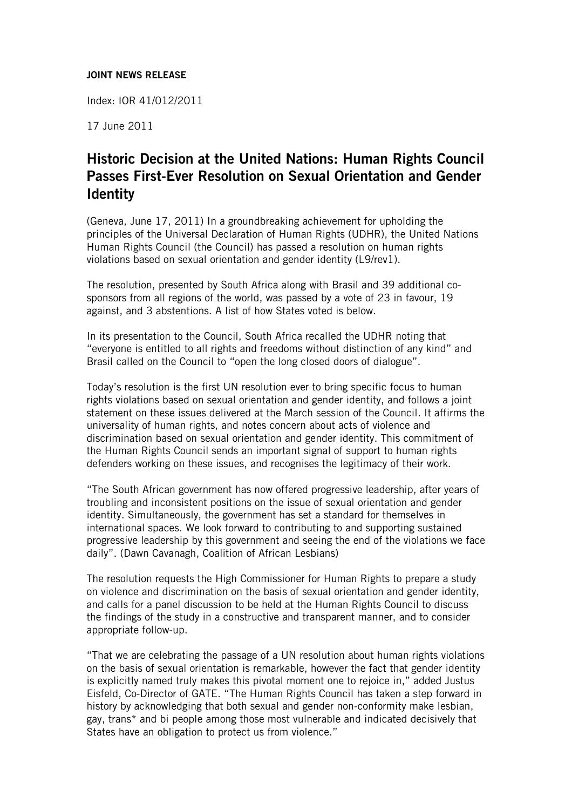## JOINT NEWS RELEASE

Index: IOR 41/012/2011

17 June 2011

## Historic Decision at the United Nations: Human Rights Council Passes First-Ever Resolution on Sexual Orientation and Gender **Identity**

(Geneva, June 17, 2011) In a groundbreaking achievement for upholding the principles of the Universal Declaration of Human Rights (UDHR), the United Nations Human Rights Council (the Council) has passed a resolution on human rights violations based on sexual orientation and gender identity (L9/rev1).

The resolution, presented by South Africa along with Brasil and 39 additional cosponsors from all regions of the world, was passed by a vote of 23 in favour, 19 against, and 3 abstentions. A list of how States voted is below.

In its presentation to the Council, South Africa recalled the UDHR noting that "everyone is entitled to all rights and freedoms without distinction of any kind" and Brasil called on the Council to "open the long closed doors of dialogue".

Today's resolution is the first UN resolution ever to bring specific focus to human rights violations based on sexual orientation and gender identity, and follows a joint statement on these issues delivered at the March session of the Council. It affirms the universality of human rights, and notes concern about acts of violence and discrimination based on sexual orientation and gender identity. This commitment of the Human Rights Council sends an important signal of support to human rights defenders working on these issues, and recognises the legitimacy of their work.

"The South African government has now offered progressive leadership, after years of troubling and inconsistent positions on the issue of sexual orientation and gender identity. Simultaneously, the government has set a standard for themselves in international spaces. We look forward to contributing to and supporting sustained progressive leadership by this government and seeing the end of the violations we face daily". (Dawn Cavanagh, Coalition of African Lesbians)

The resolution requests the High Commissioner for Human Rights to prepare a study on violence and discrimination on the basis of sexual orientation and gender identity, and calls for a panel discussion to be held at the Human Rights Council to discuss the findings of the study in a constructive and transparent manner, and to consider appropriate follow-up.

"That we are celebrating the passage of a UN resolution about human rights violations on the basis of sexual orientation is remarkable, however the fact that gender identity is explicitly named truly makes this pivotal moment one to rejoice in," added Justus Eisfeld, Co-Director of GATE. "The Human Rights Council has taken a step forward in history by acknowledging that both sexual and gender non-conformity make lesbian, gay, trans\* and bi people among those most vulnerable and indicated decisively that States have an obligation to protect us from violence."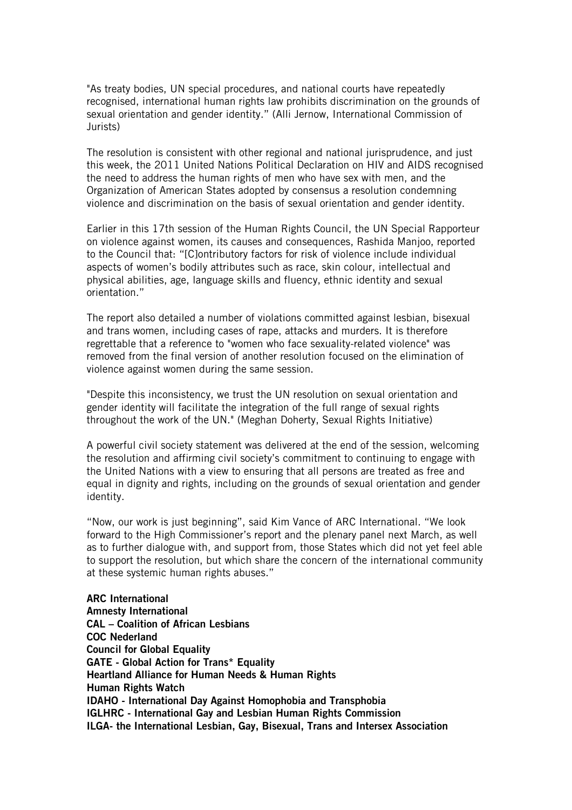"As treaty bodies, UN special procedures, and national courts have repeatedly recognised, international human rights law prohibits discrimination on the grounds of sexual orientation and gender identity." (Alli Jernow, International Commission of Jurists)

The resolution is consistent with other regional and national jurisprudence, and just this week, the 2011 United Nations Political Declaration on HIV and AIDS recognised the need to address the human rights of men who have sex with men, and the Organization of American States adopted by consensus a resolution condemning violence and discrimination on the basis of sexual orientation and gender identity.

Earlier in this 17th session of the Human Rights Council, the UN Special Rapporteur on violence against women, its causes and consequences, Rashida Manjoo, reported to the Council that: "[C]ontributory factors for risk of violence include individual aspects of women's bodily attributes such as race, skin colour, intellectual and physical abilities, age, language skills and fluency, ethnic identity and sexual orientation."

The report also detailed a number of violations committed against lesbian, bisexual and trans women, including cases of rape, attacks and murders. It is therefore regrettable that a reference to "women who face sexuality-related violence" was removed from the final version of another resolution focused on the elimination of violence against women during the same session.

"Despite this inconsistency, we trust the UN resolution on sexual orientation and gender identity will facilitate the integration of the full range of sexual rights throughout the work of the UN." (Meghan Doherty, Sexual Rights Initiative)

A powerful civil society statement was delivered at the end of the session, welcoming the resolution and affirming civil society's commitment to continuing to engage with the United Nations with a view to ensuring that all persons are treated as free and equal in dignity and rights, including on the grounds of sexual orientation and gender identity.

"Now, our work is just beginning", said Kim Vance of ARC International. "We look forward to the High Commissioner's report and the plenary panel next March, as well as to further dialogue with, and support from, those States which did not yet feel able to support the resolution, but which share the concern of the international community at these systemic human rights abuses."

ARC International Amnesty International CAL – Coalition of African Lesbians COC Nederland **Council for Global Equality** GATE - Global Action for Trans\* Equality Heartland Alliance for Human Needs & Human Rights Human Rights Watch IDAHO - International Day Against Homophobia and Transphobia IGLHRC - International Gay and Lesbian Human Rights Commission ILGA- the International Lesbian, Gay, Bisexual, Trans and Intersex Association